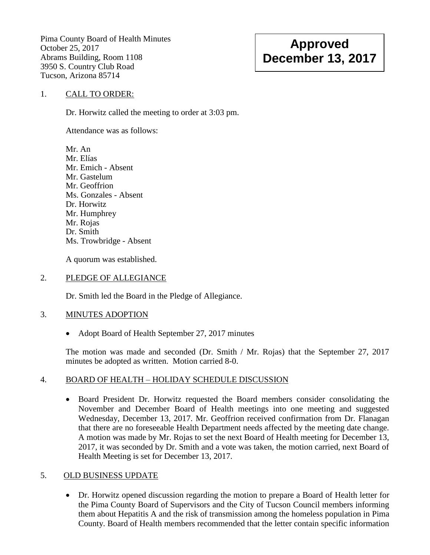Pima County Board of Health Minutes October 25, 2017 Abrams Building, Room 1108 3950 S. Country Club Road Tucson, Arizona 85714

# **Approved December 13, 2017**

#### 1. CALL TO ORDER:

Dr. Horwitz called the meeting to order at 3:03 pm.

Attendance was as follows:

Mr. An Mr. Elías Mr. Emich - Absent Mr. Gastelum Mr. Geoffrion Ms. Gonzales - Absent Dr. Horwitz Mr. Humphrey Mr. Rojas Dr. Smith Ms. Trowbridge - Absent

A quorum was established.

#### 2. PLEDGE OF ALLEGIANCE

Dr. Smith led the Board in the Pledge of Allegiance.

#### 3. MINUTES ADOPTION

• Adopt Board of Health September 27, 2017 minutes

The motion was made and seconded (Dr. Smith / Mr. Rojas) that the September 27, 2017 minutes be adopted as written. Motion carried 8-0.

#### 4. BOARD OF HEALTH – HOLIDAY SCHEDULE DISCUSSION

 Board President Dr. Horwitz requested the Board members consider consolidating the November and December Board of Health meetings into one meeting and suggested Wednesday, December 13, 2017. Mr. Geoffrion received confirmation from Dr. Flanagan that there are no foreseeable Health Department needs affected by the meeting date change. A motion was made by Mr. Rojas to set the next Board of Health meeting for December 13, 2017, it was seconded by Dr. Smith and a vote was taken, the motion carried, next Board of Health Meeting is set for December 13, 2017.

#### 5. OLD BUSINESS UPDATE

 Dr. Horwitz opened discussion regarding the motion to prepare a Board of Health letter for the Pima County Board of Supervisors and the City of Tucson Council members informing them about Hepatitis A and the risk of transmission among the homeless population in Pima County. Board of Health members recommended that the letter contain specific information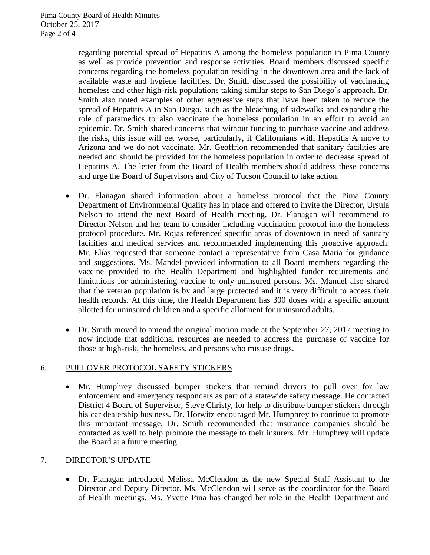regarding potential spread of Hepatitis A among the homeless population in Pima County as well as provide prevention and response activities. Board members discussed specific concerns regarding the homeless population residing in the downtown area and the lack of available waste and hygiene facilities. Dr. Smith discussed the possibility of vaccinating homeless and other high-risk populations taking similar steps to San Diego's approach. Dr. Smith also noted examples of other aggressive steps that have been taken to reduce the spread of Hepatitis A in San Diego, such as the bleaching of sidewalks and expanding the role of paramedics to also vaccinate the homeless population in an effort to avoid an epidemic. Dr. Smith shared concerns that without funding to purchase vaccine and address the risks, this issue will get worse, particularly, if Californians with Hepatitis A move to Arizona and we do not vaccinate. Mr. Geoffrion recommended that sanitary facilities are needed and should be provided for the homeless population in order to decrease spread of Hepatitis A. The letter from the Board of Health members should address these concerns and urge the Board of Supervisors and City of Tucson Council to take action.

- Dr. Flanagan shared information about a homeless protocol that the Pima County Department of Environmental Quality has in place and offered to invite the Director, Ursula Nelson to attend the next Board of Health meeting. Dr. Flanagan will recommend to Director Nelson and her team to consider including vaccination protocol into the homeless protocol procedure. Mr. Rojas referenced specific areas of downtown in need of sanitary facilities and medical services and recommended implementing this proactive approach. Mr. Elías requested that someone contact a representative from Casa Maria for guidance and suggestions. Ms. Mandel provided information to all Board members regarding the vaccine provided to the Health Department and highlighted funder requirements and limitations for administering vaccine to only uninsured persons. Ms. Mandel also shared that the veteran population is by and large protected and it is very difficult to access their health records. At this time, the Health Department has 300 doses with a specific amount allotted for uninsured children and a specific allotment for uninsured adults.
- Dr. Smith moved to amend the original motion made at the September 27, 2017 meeting to now include that additional resources are needed to address the purchase of vaccine for those at high-risk, the homeless, and persons who misuse drugs.

## 6. PULLOVER PROTOCOL SAFETY STICKERS

 Mr. Humphrey discussed bumper stickers that remind drivers to pull over for law enforcement and emergency responders as part of a statewide safety message. He contacted District 4 Board of Supervisor, Steve Christy, for help to distribute bumper stickers through his car dealership business. Dr. Horwitz encouraged Mr. Humphrey to continue to promote this important message. Dr. Smith recommended that insurance companies should be contacted as well to help promote the message to their insurers. Mr. Humphrey will update the Board at a future meeting.

#### 7. DIRECTOR'S UPDATE

 Dr. Flanagan introduced Melissa McClendon as the new Special Staff Assistant to the Director and Deputy Director. Ms. McClendon will serve as the coordinator for the Board of Health meetings. Ms. Yvette Pina has changed her role in the Health Department and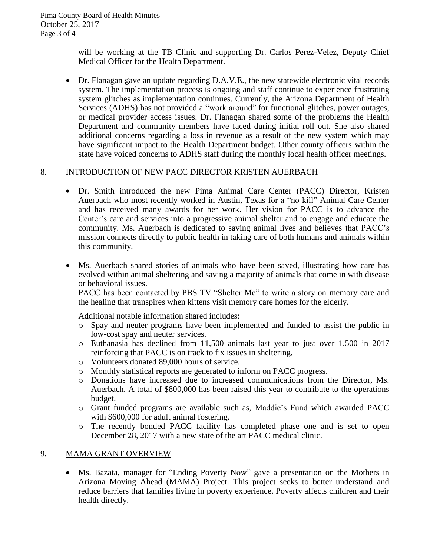will be working at the TB Clinic and supporting Dr. Carlos Perez-Velez, Deputy Chief Medical Officer for the Health Department.

 Dr. Flanagan gave an update regarding D.A.V.E., the new statewide electronic vital records system. The implementation process is ongoing and staff continue to experience frustrating system glitches as implementation continues. Currently, the Arizona Department of Health Services (ADHS) has not provided a "work around" for functional glitches, power outages, or medical provider access issues. Dr. Flanagan shared some of the problems the Health Department and community members have faced during initial roll out. She also shared additional concerns regarding a loss in revenue as a result of the new system which may have significant impact to the Health Department budget. Other county officers within the state have voiced concerns to ADHS staff during the monthly local health officer meetings.

### 8. INTRODUCTION OF NEW PACC DIRECTOR KRISTEN AUERBACH

- Dr. Smith introduced the new Pima Animal Care Center (PACC) Director, Kristen Auerbach who most recently worked in Austin, Texas for a "no kill" Animal Care Center and has received many awards for her work. Her vision for PACC is to advance the Center's care and services into a progressive animal shelter and to engage and educate the community. Ms. Auerbach is dedicated to saving animal lives and believes that PACC's mission connects directly to public health in taking care of both humans and animals within this community.
- Ms. Auerbach shared stories of animals who have been saved, illustrating how care has evolved within animal sheltering and saving a majority of animals that come in with disease or behavioral issues.

PACC has been contacted by PBS TV "Shelter Me" to write a story on memory care and the healing that transpires when kittens visit memory care homes for the elderly.

Additional notable information shared includes:

- o Spay and neuter programs have been implemented and funded to assist the public in low-cost spay and neuter services.
- o Euthanasia has declined from 11,500 animals last year to just over 1,500 in 2017 reinforcing that PACC is on track to fix issues in sheltering.
- o Volunteers donated 89,000 hours of service.
- o Monthly statistical reports are generated to inform on PACC progress.
- o Donations have increased due to increased communications from the Director, Ms. Auerbach. A total of \$800,000 has been raised this year to contribute to the operations budget.
- o Grant funded programs are available such as, Maddie's Fund which awarded PACC with \$600,000 for adult animal fostering.
- o The recently bonded PACC facility has completed phase one and is set to open December 28, 2017 with a new state of the art PACC medical clinic.

## 9. MAMA GRANT OVERVIEW

 Ms. Bazata, manager for "Ending Poverty Now" gave a presentation on the Mothers in Arizona Moving Ahead (MAMA) Project. This project seeks to better understand and reduce barriers that families living in poverty experience. Poverty affects children and their health directly.